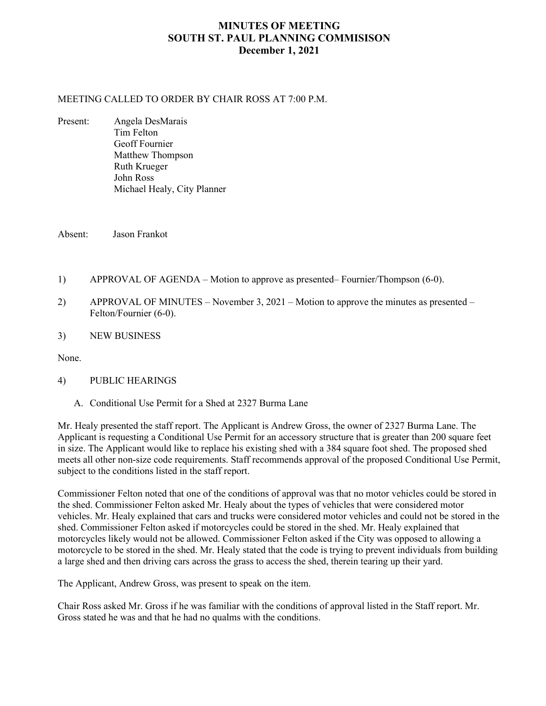## **MINUTES OF MEETING SOUTH ST. PAUL PLANNING COMMISISON December 1, 2021**

#### MEETING CALLED TO ORDER BY CHAIR ROSS AT 7:00 P.M.

Present: Angela DesMarais Tim Felton Geoff Fournier Matthew Thompson Ruth Krueger John Ross Michael Healy, City Planner

Absent: Jason Frankot

- 1) APPROVAL OF AGENDA Motion to approve as presented– Fournier/Thompson (6-0).
- 2) APPROVAL OF MINUTES November 3, 2021 Motion to approve the minutes as presented Felton/Fournier (6-0).
- 3) NEW BUSINESS

None.

#### 4) PUBLIC HEARINGS

A. Conditional Use Permit for a Shed at 2327 Burma Lane

Mr. Healy presented the staff report. The Applicant is Andrew Gross, the owner of 2327 Burma Lane. The Applicant is requesting a Conditional Use Permit for an accessory structure that is greater than 200 square feet in size. The Applicant would like to replace his existing shed with a 384 square foot shed. The proposed shed meets all other non-size code requirements. Staff recommends approval of the proposed Conditional Use Permit, subject to the conditions listed in the staff report.

Commissioner Felton noted that one of the conditions of approval was that no motor vehicles could be stored in the shed. Commissioner Felton asked Mr. Healy about the types of vehicles that were considered motor vehicles. Mr. Healy explained that cars and trucks were considered motor vehicles and could not be stored in the shed. Commissioner Felton asked if motorcycles could be stored in the shed. Mr. Healy explained that motorcycles likely would not be allowed. Commissioner Felton asked if the City was opposed to allowing a motorcycle to be stored in the shed. Mr. Healy stated that the code is trying to prevent individuals from building a large shed and then driving cars across the grass to access the shed, therein tearing up their yard.

The Applicant, Andrew Gross, was present to speak on the item.

Chair Ross asked Mr. Gross if he was familiar with the conditions of approval listed in the Staff report. Mr. Gross stated he was and that he had no qualms with the conditions.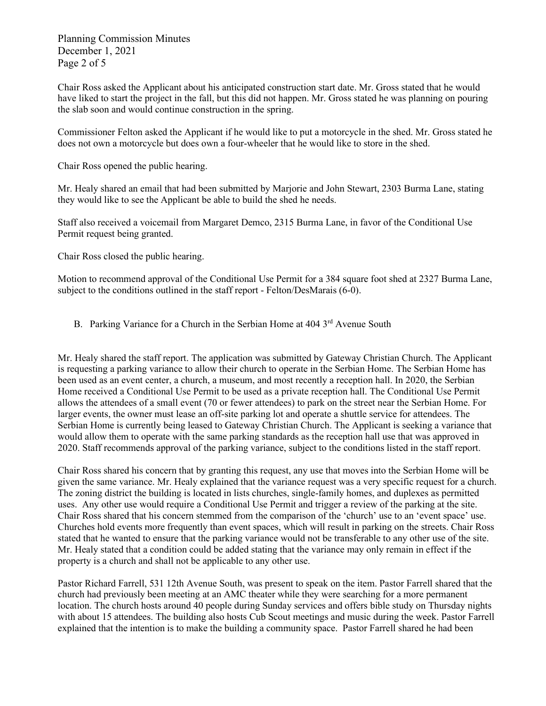Planning Commission Minutes December 1, 2021 Page 2 of 5

Chair Ross asked the Applicant about his anticipated construction start date. Mr. Gross stated that he would have liked to start the project in the fall, but this did not happen. Mr. Gross stated he was planning on pouring the slab soon and would continue construction in the spring.

Commissioner Felton asked the Applicant if he would like to put a motorcycle in the shed. Mr. Gross stated he does not own a motorcycle but does own a four-wheeler that he would like to store in the shed.

Chair Ross opened the public hearing.

Mr. Healy shared an email that had been submitted by Marjorie and John Stewart, 2303 Burma Lane, stating they would like to see the Applicant be able to build the shed he needs.

Staff also received a voicemail from Margaret Demco, 2315 Burma Lane, in favor of the Conditional Use Permit request being granted.

Chair Ross closed the public hearing.

Motion to recommend approval of the Conditional Use Permit for a 384 square foot shed at 2327 Burma Lane, subject to the conditions outlined in the staff report - Felton/DesMarais (6-0).

B. Parking Variance for a Church in the Serbian Home at 404 3<sup>rd</sup> Avenue South

Mr. Healy shared the staff report. The application was submitted by Gateway Christian Church. The Applicant is requesting a parking variance to allow their church to operate in the Serbian Home. The Serbian Home has been used as an event center, a church, a museum, and most recently a reception hall. In 2020, the Serbian Home received a Conditional Use Permit to be used as a private reception hall. The Conditional Use Permit allows the attendees of a small event (70 or fewer attendees) to park on the street near the Serbian Home. For larger events, the owner must lease an off-site parking lot and operate a shuttle service for attendees. The Serbian Home is currently being leased to Gateway Christian Church. The Applicant is seeking a variance that would allow them to operate with the same parking standards as the reception hall use that was approved in 2020. Staff recommends approval of the parking variance, subject to the conditions listed in the staff report.

Chair Ross shared his concern that by granting this request, any use that moves into the Serbian Home will be given the same variance. Mr. Healy explained that the variance request was a very specific request for a church. The zoning district the building is located in lists churches, single-family homes, and duplexes as permitted uses. Any other use would require a Conditional Use Permit and trigger a review of the parking at the site. Chair Ross shared that his concern stemmed from the comparison of the 'church' use to an 'event space' use. Churches hold events more frequently than event spaces, which will result in parking on the streets. Chair Ross stated that he wanted to ensure that the parking variance would not be transferable to any other use of the site. Mr. Healy stated that a condition could be added stating that the variance may only remain in effect if the property is a church and shall not be applicable to any other use.

Pastor Richard Farrell, 531 12th Avenue South, was present to speak on the item. Pastor Farrell shared that the church had previously been meeting at an AMC theater while they were searching for a more permanent location. The church hosts around 40 people during Sunday services and offers bible study on Thursday nights with about 15 attendees. The building also hosts Cub Scout meetings and music during the week. Pastor Farrell explained that the intention is to make the building a community space. Pastor Farrell shared he had been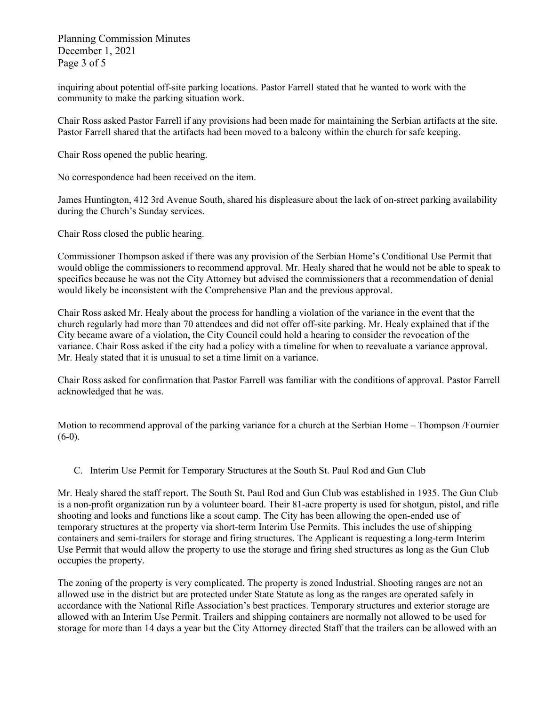Planning Commission Minutes December 1, 2021 Page 3 of 5

inquiring about potential off-site parking locations. Pastor Farrell stated that he wanted to work with the community to make the parking situation work.

Chair Ross asked Pastor Farrell if any provisions had been made for maintaining the Serbian artifacts at the site. Pastor Farrell shared that the artifacts had been moved to a balcony within the church for safe keeping.

Chair Ross opened the public hearing.

No correspondence had been received on the item.

James Huntington, 412 3rd Avenue South, shared his displeasure about the lack of on-street parking availability during the Church's Sunday services.

Chair Ross closed the public hearing.

Commissioner Thompson asked if there was any provision of the Serbian Home's Conditional Use Permit that would oblige the commissioners to recommend approval. Mr. Healy shared that he would not be able to speak to specifics because he was not the City Attorney but advised the commissioners that a recommendation of denial would likely be inconsistent with the Comprehensive Plan and the previous approval.

Chair Ross asked Mr. Healy about the process for handling a violation of the variance in the event that the church regularly had more than 70 attendees and did not offer off-site parking. Mr. Healy explained that if the City became aware of a violation, the City Council could hold a hearing to consider the revocation of the variance. Chair Ross asked if the city had a policy with a timeline for when to reevaluate a variance approval. Mr. Healy stated that it is unusual to set a time limit on a variance.

Chair Ross asked for confirmation that Pastor Farrell was familiar with the conditions of approval. Pastor Farrell acknowledged that he was.

Motion to recommend approval of the parking variance for a church at the Serbian Home – Thompson /Fournier  $(6-0).$ 

C. Interim Use Permit for Temporary Structures at the South St. Paul Rod and Gun Club

Mr. Healy shared the staff report. The South St. Paul Rod and Gun Club was established in 1935. The Gun Club is a non-profit organization run by a volunteer board. Their 81-acre property is used for shotgun, pistol, and rifle shooting and looks and functions like a scout camp. The City has been allowing the open-ended use of temporary structures at the property via short-term Interim Use Permits. This includes the use of shipping containers and semi-trailers for storage and firing structures. The Applicant is requesting a long-term Interim Use Permit that would allow the property to use the storage and firing shed structures as long as the Gun Club occupies the property.

The zoning of the property is very complicated. The property is zoned Industrial. Shooting ranges are not an allowed use in the district but are protected under State Statute as long as the ranges are operated safely in accordance with the National Rifle Association's best practices. Temporary structures and exterior storage are allowed with an Interim Use Permit. Trailers and shipping containers are normally not allowed to be used for storage for more than 14 days a year but the City Attorney directed Staff that the trailers can be allowed with an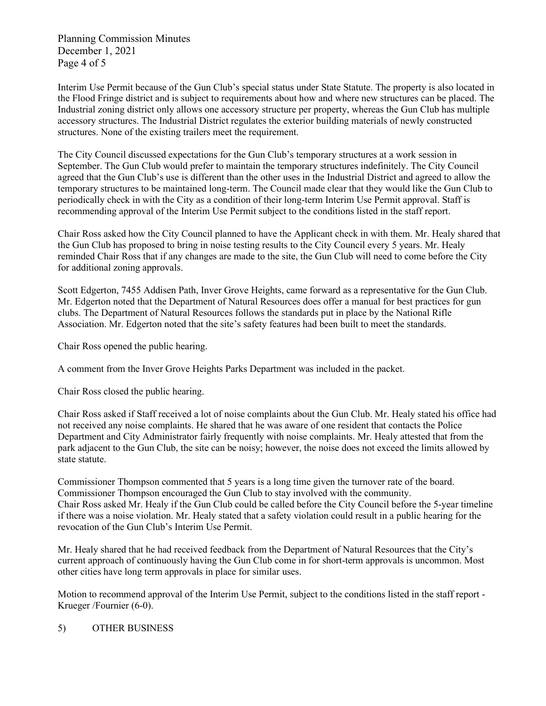Planning Commission Minutes December 1, 2021 Page 4 of 5

Interim Use Permit because of the Gun Club's special status under State Statute. The property is also located in the Flood Fringe district and is subject to requirements about how and where new structures can be placed. The Industrial zoning district only allows one accessory structure per property, whereas the Gun Club has multiple accessory structures. The Industrial District regulates the exterior building materials of newly constructed structures. None of the existing trailers meet the requirement.

The City Council discussed expectations for the Gun Club's temporary structures at a work session in September. The Gun Club would prefer to maintain the temporary structures indefinitely. The City Council agreed that the Gun Club's use is different than the other uses in the Industrial District and agreed to allow the temporary structures to be maintained long-term. The Council made clear that they would like the Gun Club to periodically check in with the City as a condition of their long-term Interim Use Permit approval. Staff is recommending approval of the Interim Use Permit subject to the conditions listed in the staff report.

Chair Ross asked how the City Council planned to have the Applicant check in with them. Mr. Healy shared that the Gun Club has proposed to bring in noise testing results to the City Council every 5 years. Mr. Healy reminded Chair Ross that if any changes are made to the site, the Gun Club will need to come before the City for additional zoning approvals.

Scott Edgerton, 7455 Addisen Path, Inver Grove Heights, came forward as a representative for the Gun Club. Mr. Edgerton noted that the Department of Natural Resources does offer a manual for best practices for gun clubs. The Department of Natural Resources follows the standards put in place by the National Rifle Association. Mr. Edgerton noted that the site's safety features had been built to meet the standards.

Chair Ross opened the public hearing.

A comment from the Inver Grove Heights Parks Department was included in the packet.

Chair Ross closed the public hearing.

Chair Ross asked if Staff received a lot of noise complaints about the Gun Club. Mr. Healy stated his office had not received any noise complaints. He shared that he was aware of one resident that contacts the Police Department and City Administrator fairly frequently with noise complaints. Mr. Healy attested that from the park adjacent to the Gun Club, the site can be noisy; however, the noise does not exceed the limits allowed by state statute.

Commissioner Thompson commented that 5 years is a long time given the turnover rate of the board. Commissioner Thompson encouraged the Gun Club to stay involved with the community. Chair Ross asked Mr. Healy if the Gun Club could be called before the City Council before the 5-year timeline if there was a noise violation. Mr. Healy stated that a safety violation could result in a public hearing for the revocation of the Gun Club's Interim Use Permit.

Mr. Healy shared that he had received feedback from the Department of Natural Resources that the City's current approach of continuously having the Gun Club come in for short-term approvals is uncommon. Most other cities have long term approvals in place for similar uses.

Motion to recommend approval of the Interim Use Permit, subject to the conditions listed in the staff report - Krueger /Fournier (6-0).

### 5) OTHER BUSINESS